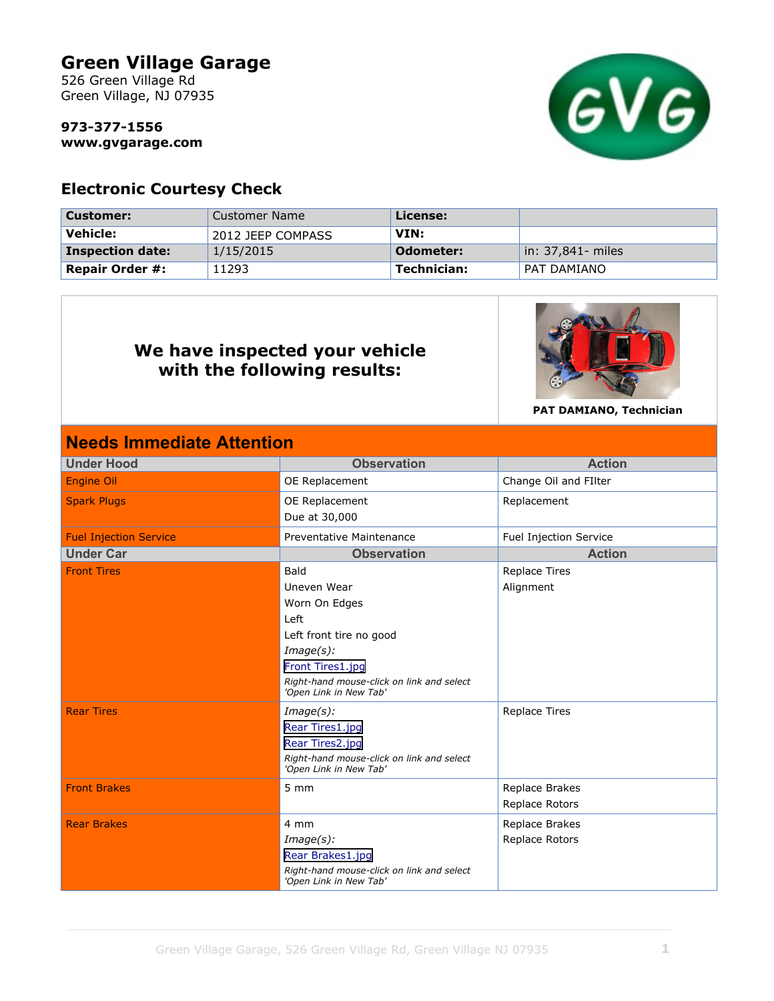Green Village, NJ <sup>07935</sup>

**973-377-1556 www.gvgarage.com**



### **Electronic Courtesy Check**

| Customer:               | Customer Name     | License:    |                       |
|-------------------------|-------------------|-------------|-----------------------|
| Vehicle:                | 2012 JEEP COMPASS | VIN:        |                       |
| <b>Inspection date:</b> | 1/15/2015         | Odometer:   | $\ln$ : 37,841- miles |
| <b>Repair Order #:</b>  | 11293             | Technician: | PAT DAMIANO           |

## **We have inspected your vehicle with the following results:**



**PAT DAMIANO, Technician**

| <b>Needs Immediate Attention</b> |                                                                     |                        |  |  |
|----------------------------------|---------------------------------------------------------------------|------------------------|--|--|
| <b>Under Hood</b>                | <b>Observation</b>                                                  | <b>Action</b>          |  |  |
| <b>Engine Oil</b>                | OE Replacement                                                      | Change Oil and FIlter  |  |  |
| <b>Spark Plugs</b>               | OE Replacement                                                      | Replacement            |  |  |
|                                  | Due at 30,000                                                       |                        |  |  |
| <b>Fuel Injection Service</b>    | Preventative Maintenance                                            | Fuel Injection Service |  |  |
| <b>Under Car</b>                 | <b>Observation</b>                                                  | <b>Action</b>          |  |  |
| <b>Front Tires</b>               | Bald                                                                | <b>Replace Tires</b>   |  |  |
|                                  | Uneven Wear                                                         | Alignment              |  |  |
|                                  | Worn On Edges                                                       |                        |  |  |
|                                  | Left                                                                |                        |  |  |
|                                  | Left front tire no good                                             |                        |  |  |
|                                  | $Image(s)$ :                                                        |                        |  |  |
|                                  | Front Tires1.jpg                                                    |                        |  |  |
|                                  | Right-hand mouse-click on link and select<br>'Open Link in New Tab' |                        |  |  |
| <b>Rear Tires</b>                | $Image(s)$ :                                                        | <b>Replace Tires</b>   |  |  |
|                                  | Rear Tires1.jpg                                                     |                        |  |  |
|                                  | Rear Tires2.jpg                                                     |                        |  |  |
|                                  | Right-hand mouse-click on link and select<br>'Open Link in New Tab' |                        |  |  |
| <b>Front Brakes</b>              | $5 \, \text{mm}$                                                    | Replace Brakes         |  |  |
|                                  |                                                                     | Replace Rotors         |  |  |
| <b>Rear Brakes</b>               | 4 mm                                                                | Replace Brakes         |  |  |
|                                  | $Image(s)$ :                                                        | Replace Rotors         |  |  |
|                                  | Rear Brakes1.jpg                                                    |                        |  |  |
|                                  | Right-hand mouse-click on link and select<br>'Open Link in New Tab' |                        |  |  |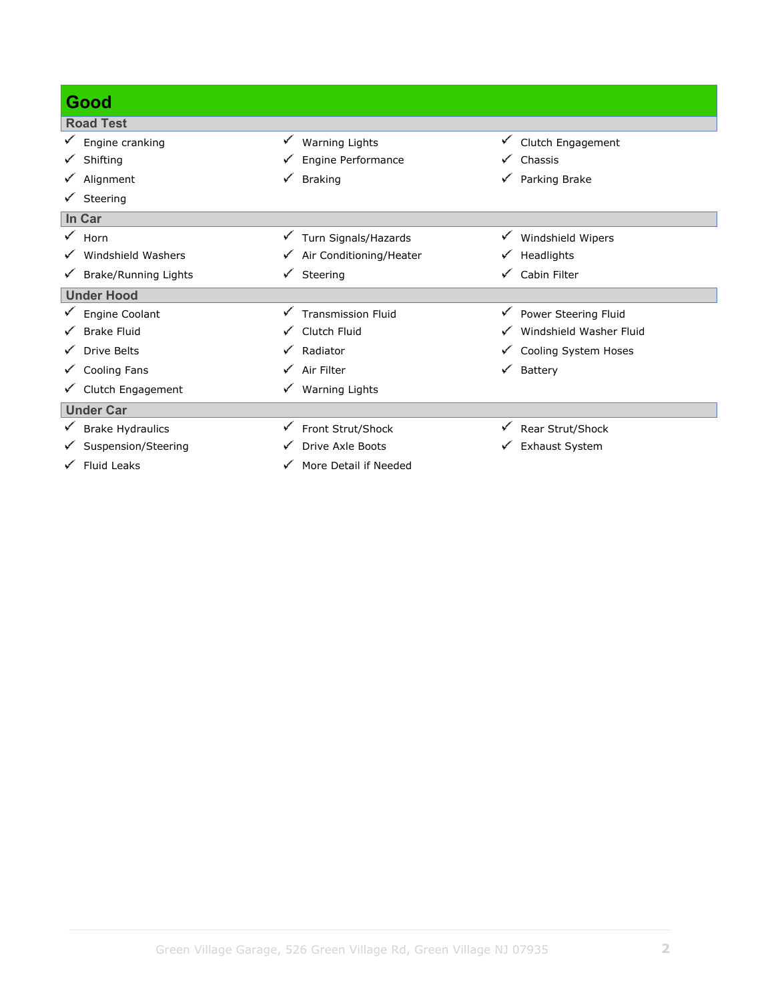| Good                         |                            |                            |
|------------------------------|----------------------------|----------------------------|
| <b>Road Test</b>             |                            |                            |
| $\checkmark$ Engine cranking | <b>Warning Lights</b><br>v | Clutch Engagement          |
| ✔ Shifting                   | Engine Performance<br>✓    | $\checkmark$ Chassis       |
| ✔ Alignment                  | <b>Braking</b><br>✓        | $\checkmark$ Parking Brake |
| $\checkmark$ Steering        |                            |                            |
| In Car                       |                            |                            |
| ✓<br>Horn                    | ✔ Turn Signals/Hazards     | Windshield Wipers          |
| ✔ Windshield Washers         | ✔ Air Conditioning/Heater  | $\checkmark$ Headlights    |
| ✔ Brake/Running Lights       | $\checkmark$ Steering      | ✔ Cabin Filter             |
| <b>Under Hood</b>            |                            |                            |
| ► Engine Coolant             | Transmission Fluid         | ✔ Power Steering Fluid     |
| ✔ Brake Fluid                | √ Clutch Fluid             | Windshield Washer Fluid    |
| ✔ Drive Belts                | $\checkmark$ Radiator      | Cooling System Hoses       |
| ✔ Cooling Fans               | $\checkmark$ Air Filter    | $\checkmark$ Battery       |
| ✔ Clutch Engagement          | ✔ Warning Lights           |                            |
| <b>Under Car</b>             |                            |                            |
| ✔ Brake Hydraulics           | Front Strut/Shock          | Rear Strut/Shock           |
| ✔ Suspension/Steering        | Drive Axle Boots           | ✔ Exhaust System           |
| $\checkmark$ Fluid Leaks     | More Detail if Needed      |                            |